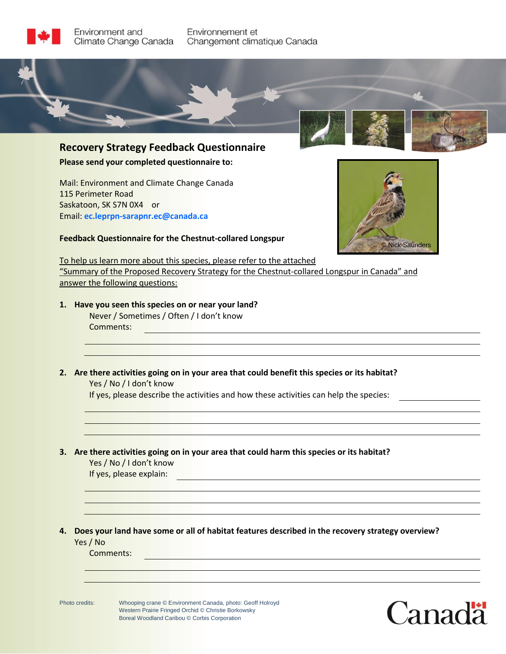

Environnement et Changement climatique Canada



**Recovery Strategy Feedback Questionnaire Please send your completed questionnaire to:**

Mail: Environment and Climate Change Canada 115 Perimeter Road Saskatoon, SK S7N 0X4 or Email: **ec.leprpn-sarapnr.ec@canada.ca**



**Feedback Questionnaire for the Chestnut-collared Longspur**

To help us learn more about this species, please refer to the attached "Summary of the Proposed Recovery Strategy for the Chestnut-collared Longspur in Canada" and answer the following questions:

**1. Have you seen this species on or near your land?**  Never / Sometimes / Often / I don't know

Comments:

**2. Are there activities going on in your area that could benefit this species or its habitat?**  Yes / No / I don't know

If yes, please describe the activities and how these activities can help the species:

**3. Are there activities going on in your area that could harm this species or its habitat?** 

Yes / No / I don't know

If yes, please explain:

**4. Does your land have some or all of habitat features described in the recovery strategy overview?** Yes / No

Comments: